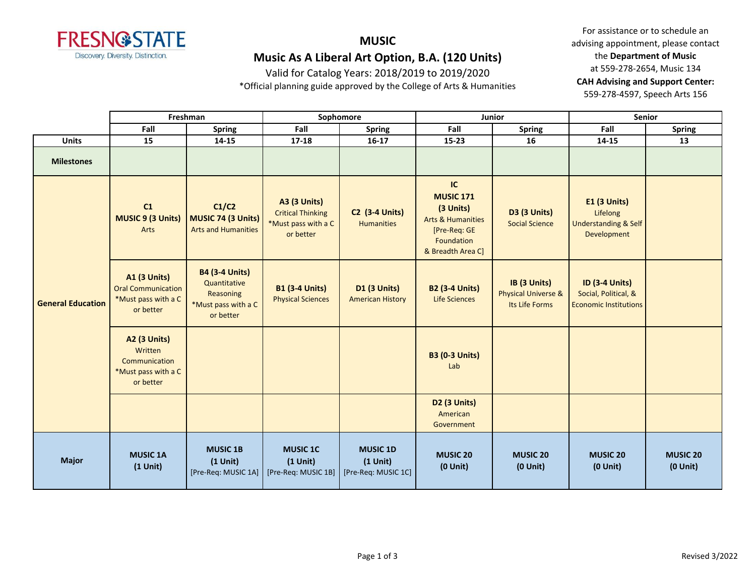

Valid for Catalog Years: 2018/2019 to 2019/2020

\*Official planning guide approved by the College of Arts & Humanities

|                          |                                                                                      | Freshman<br>Sophomore<br>Junior                                                        |                                                                                     | Senior                                               |                                                                                                                        |                                                                  |                                                                                   |                               |
|--------------------------|--------------------------------------------------------------------------------------|----------------------------------------------------------------------------------------|-------------------------------------------------------------------------------------|------------------------------------------------------|------------------------------------------------------------------------------------------------------------------------|------------------------------------------------------------------|-----------------------------------------------------------------------------------|-------------------------------|
|                          | Fall                                                                                 | <b>Spring</b>                                                                          | Fall                                                                                | <b>Spring</b>                                        | Fall                                                                                                                   | <b>Spring</b>                                                    | Fall                                                                              | <b>Spring</b>                 |
| <b>Units</b>             | 15                                                                                   | $14 - 15$                                                                              | $17 - 18$                                                                           | $16-17$                                              | 15-23                                                                                                                  | 16                                                               | $14 - 15$                                                                         | 13                            |
| <b>Milestones</b>        |                                                                                      |                                                                                        |                                                                                     |                                                      |                                                                                                                        |                                                                  |                                                                                   |                               |
| <b>General Education</b> | C1<br><b>MUSIC 9 (3 Units)</b><br>Arts                                               | C1/C2<br>MUSIC 74 (3 Units)<br><b>Arts and Humanities</b>                              | <b>A3 (3 Units)</b><br><b>Critical Thinking</b><br>*Must pass with a C<br>or better | <b>C2 (3-4 Units)</b><br><b>Humanities</b>           | IC<br><b>MUSIC 171</b><br>(3 Units)<br><b>Arts &amp; Humanities</b><br>[Pre-Req: GE<br>Foundation<br>& Breadth Area C] | <b>D3 (3 Units)</b><br><b>Social Science</b>                     | <b>E1 (3 Units)</b><br>Lifelong<br><b>Understanding &amp; Self</b><br>Development |                               |
|                          | <b>A1 (3 Units)</b><br><b>Oral Communication</b><br>*Must pass with a C<br>or better | <b>B4 (3-4 Units)</b><br>Quantitative<br>Reasoning<br>*Must pass with a C<br>or better | <b>B1 (3-4 Units)</b><br><b>Physical Sciences</b>                                   | D1 (3 Units)<br><b>American History</b>              | <b>B2 (3-4 Units)</b><br>Life Sciences                                                                                 | IB (3 Units)<br><b>Physical Universe &amp;</b><br>Its Life Forms | <b>ID (3-4 Units)</b><br>Social, Political, &<br><b>Economic Institutions</b>     |                               |
|                          | <b>A2 (3 Units)</b><br>Written<br>Communication<br>*Must pass with a C<br>or better  |                                                                                        |                                                                                     |                                                      | <b>B3 (0-3 Units)</b><br>Lab                                                                                           |                                                                  |                                                                                   |                               |
|                          |                                                                                      |                                                                                        |                                                                                     |                                                      | D2 (3 Units)<br>American<br>Government                                                                                 |                                                                  |                                                                                   |                               |
| <b>Major</b>             | <b>MUSIC 1A</b><br>$(1$ Unit)                                                        | <b>MUSIC 1B</b><br>$(1$ Unit)<br>[Pre-Req: MUSIC 1A]                                   | <b>MUSIC 1C</b><br>$(1$ Unit $)$<br>[Pre-Req: MUSIC 1B]                             | <b>MUSIC 1D</b><br>$(1$ Unit)<br>[Pre-Req: MUSIC 1C] | <b>MUSIC 20</b><br>$(0$ Unit)                                                                                          | <b>MUSIC 20</b><br>$(0$ Unit $)$                                 | <b>MUSIC 20</b><br>$(0$ Unit $)$                                                  | <b>MUSIC 20</b><br>$(0$ Unit) |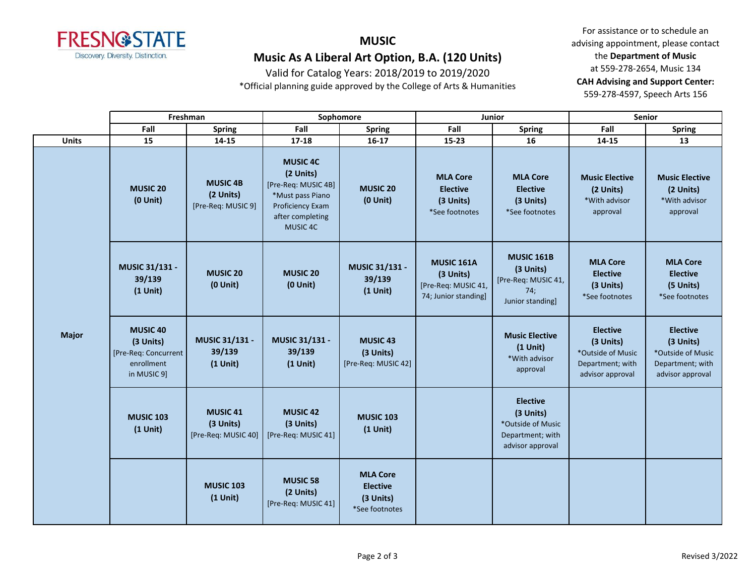

Valid for Catalog Years: 2018/2019 to 2019/2020

\*Official planning guide approved by the College of Arts & Humanities

|              | Freshman                                                                           |                                                     |                                                                                                                             | Sophomore                                                         | Junior                                                                        |                                                                                           | <b>Senior</b>                                                                             |                                                                                           |
|--------------|------------------------------------------------------------------------------------|-----------------------------------------------------|-----------------------------------------------------------------------------------------------------------------------------|-------------------------------------------------------------------|-------------------------------------------------------------------------------|-------------------------------------------------------------------------------------------|-------------------------------------------------------------------------------------------|-------------------------------------------------------------------------------------------|
|              | Fall                                                                               | <b>Spring</b>                                       | Fall                                                                                                                        | <b>Spring</b>                                                     | Fall                                                                          | <b>Spring</b>                                                                             | Fall                                                                                      | <b>Spring</b>                                                                             |
| <b>Units</b> | 15                                                                                 | 14-15                                               | 17-18                                                                                                                       | $16-17$                                                           | 15-23                                                                         | 16                                                                                        | 14-15                                                                                     | 13                                                                                        |
|              | <b>MUSIC 20</b><br>$(0$ Unit)                                                      | <b>MUSIC 4B</b><br>(2 Units)<br>[Pre-Req: MUSIC 9]  | <b>MUSIC 4C</b><br>(2 Units)<br>[Pre-Req: MUSIC 4B]<br>*Must pass Piano<br>Proficiency Exam<br>after completing<br>MUSIC 4C | <b>MUSIC 20</b><br>$(0$ Unit $)$                                  | <b>MLA Core</b><br><b>Elective</b><br>(3 Units)<br>*See footnotes             | <b>MLA Core</b><br><b>Elective</b><br>(3 Units)<br>*See footnotes                         | <b>Music Elective</b><br>(2 Units)<br>*With advisor<br>approval                           | <b>Music Elective</b><br>(2 Units)<br>*With advisor<br>approval                           |
|              | MUSIC 31/131 -<br>39/139<br>$(1$ Unit)                                             | <b>MUSIC 20</b><br>$(0$ Unit)                       | <b>MUSIC 20</b><br>$(0$ Unit)                                                                                               | MUSIC 31/131 -<br>39/139<br>$(1$ Unit)                            | <b>MUSIC 161A</b><br>(3 Units)<br>[Pre-Req: MUSIC 41,<br>74; Junior standing] | <b>MUSIC 161B</b><br>(3 Units)<br>[Pre-Req: MUSIC 41,<br>74;<br>Junior standing]          | <b>MLA Core</b><br><b>Elective</b><br>(3 Units)<br>*See footnotes                         | <b>MLA Core</b><br><b>Elective</b><br>(5 Units)<br>*See footnotes                         |
| <b>Major</b> | <b>MUSIC 40</b><br>(3 Units)<br>[Pre-Req: Concurrent]<br>enrollment<br>in MUSIC 9] | MUSIC 31/131 -<br>39/139<br>$(1$ Unit)              | MUSIC 31/131 -<br>39/139<br>$(1$ Unit)                                                                                      | <b>MUSIC 43</b><br>(3 Units)<br>[Pre-Req: MUSIC 42]               |                                                                               | <b>Music Elective</b><br>$(1$ Unit)<br>*With advisor<br>approval                          | <b>Elective</b><br>(3 Units)<br>*Outside of Music<br>Department; with<br>advisor approval | <b>Elective</b><br>(3 Units)<br>*Outside of Music<br>Department; with<br>advisor approval |
|              | <b>MUSIC 103</b><br>$(1$ Unit)                                                     | <b>MUSIC 41</b><br>(3 Units)<br>[Pre-Req: MUSIC 40] | <b>MUSIC 42</b><br>(3 Units)<br>[Pre-Req: MUSIC 41]                                                                         | <b>MUSIC 103</b><br>$(1$ Unit)                                    |                                                                               | <b>Elective</b><br>(3 Units)<br>*Outside of Music<br>Department; with<br>advisor approval |                                                                                           |                                                                                           |
|              |                                                                                    | <b>MUSIC 103</b><br>$(1$ Unit)                      | <b>MUSIC 58</b><br>(2 Units)<br>[Pre-Req: MUSIC 41]                                                                         | <b>MLA Core</b><br><b>Elective</b><br>(3 Units)<br>*See footnotes |                                                                               |                                                                                           |                                                                                           |                                                                                           |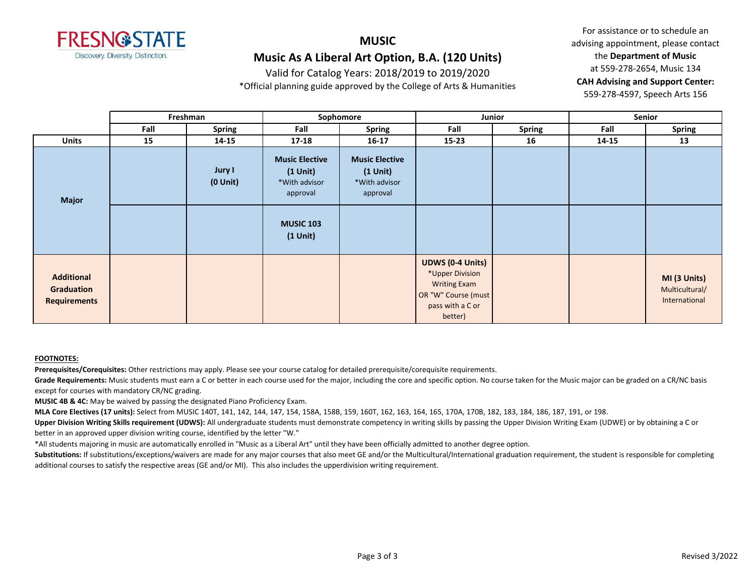

Valid for Catalog Years: 2018/2019 to 2019/2020

\*Official planning guide approved by the College of Arts & Humanities

For assistance or to schedule an advising appointment, please contact the **Department of Music** at 559-278-2654, Music 134 **CAH Advising and Support Center:**  559-278-4597, Speech Arts 156

|                                                        |      | Freshman                | Sophomore<br>Junior                                                                                |                                                                     | Senior                                                                                                       |               |       |                                                 |
|--------------------------------------------------------|------|-------------------------|----------------------------------------------------------------------------------------------------|---------------------------------------------------------------------|--------------------------------------------------------------------------------------------------------------|---------------|-------|-------------------------------------------------|
|                                                        | Fall | <b>Spring</b>           | Fall                                                                                               | <b>Spring</b>                                                       | Fall                                                                                                         | <b>Spring</b> | Fall  | <b>Spring</b>                                   |
| <b>Units</b>                                           | 15   | 14-15                   | 17-18                                                                                              | $16 - 17$                                                           | $15 - 23$                                                                                                    | 16            | 14-15 | 13                                              |
| Major                                                  |      | Jury I<br>$(0$ Unit $)$ | <b>Music Elective</b><br>$(1$ Unit)<br>*With advisor<br>approval<br><b>MUSIC 103</b><br>$(1$ Unit) | <b>Music Elective</b><br>$(1$ Unit $)$<br>*With advisor<br>approval |                                                                                                              |               |       |                                                 |
| <b>Additional</b><br>Graduation<br><b>Requirements</b> |      |                         |                                                                                                    |                                                                     | <b>UDWS (0-4 Units)</b><br>*Upper Division<br><b>Writing Exam</b><br>OR "W" Course (must<br>pass with a C or |               |       | MI (3 Units)<br>Multicultural/<br>International |
|                                                        |      |                         |                                                                                                    |                                                                     | better)                                                                                                      |               |       |                                                 |

#### **FOOTNOTES:**

**Prerequisites/Corequisites:** Other restrictions may apply. Please see your course catalog for detailed prerequisite/corequisite requirements.

Grade Requirements: Music students must earn a C or better in each course used for the major, including the core and specific option. No course taken for the Music major can be graded on a CR/NC basis except for courses with mandatory CR/NC grading.

**MUSIC 4B & 4C:** May be waived by passing the designated Piano Proficiency Exam.

**MLA Core Electives (17 units):** Select from MUSIC 140T, 141, 142, 144, 147, 154, 158A, 158B, 159, 160T, 162, 163, 164, 165, 170A, 170B, 182, 183, 184, 186, 187, 191, or 198.

**Upper Division Writing Skills requirement (UDWS):** All undergraduate students must demonstrate competency in writing skills by passing the Upper Division Writing Exam (UDWE) or by obtaining a C or better in an approved upper division writing course, identified by the letter "W."

\*All students majoring in music are automatically enrolled in "Music as a Liberal Art" until they have been officially admitted to another degree option.

Substitutions: If substitutions/exceptions/waivers are made for any major courses that also meet GE and/or the Multicultural/International graduation requirement, the student is responsible for completing additional courses to satisfy the respective areas (GE and/or MI). This also includes the upperdivision writing requirement.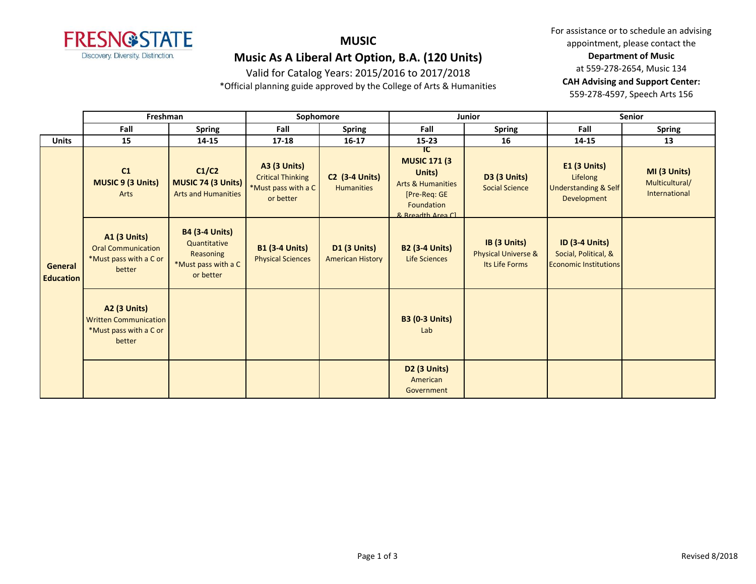

Valid for Catalog Years: 2015/2016 to 2017/2018

\*Official planning guide approved by the College of Arts & Humanities

|                             | Freshman                                                                                |                                                                                        | Sophomore                                                                           |                                                |                                                                                                                          | Junior                                                           | <b>Senior</b>                                                                 |                                                 |
|-----------------------------|-----------------------------------------------------------------------------------------|----------------------------------------------------------------------------------------|-------------------------------------------------------------------------------------|------------------------------------------------|--------------------------------------------------------------------------------------------------------------------------|------------------------------------------------------------------|-------------------------------------------------------------------------------|-------------------------------------------------|
|                             | Fall                                                                                    | <b>Spring</b>                                                                          | Fall                                                                                | <b>Spring</b>                                  | Fall                                                                                                                     | <b>Spring</b>                                                    | Fall                                                                          | <b>Spring</b>                                   |
| <b>Units</b>                | 15                                                                                      | 14-15                                                                                  | $17 - 18$                                                                           | $16 - 17$                                      | $15 - 23$                                                                                                                | 16                                                               | 14-15                                                                         | 13                                              |
| General<br><b>Education</b> | C1<br>MUSIC 9 (3 Units)<br>Arts                                                         | C1/C2<br>MUSIC 74 (3 Units)<br><b>Arts and Humanities</b>                              | <b>A3 (3 Units)</b><br><b>Critical Thinking</b><br>*Must pass with a C<br>or better | <b>C2 (3-4 Units)</b><br><b>Humanities</b>     | ℸϲ<br><b>MUSIC 171 (3)</b><br>Units)<br><b>Arts &amp; Humanities</b><br>[Pre-Req: GE<br>Foundation<br>8. Breadth Area CL | <b>D3 (3 Units)</b><br><b>Social Science</b>                     | $E1$ (3 Units)<br>Lifelong<br><b>Understanding &amp; Self</b><br>Development  | MI (3 Units)<br>Multicultural/<br>International |
|                             | <b>A1 (3 Units)</b><br><b>Oral Communication</b><br>*Must pass with a C or<br>better    | <b>B4 (3-4 Units)</b><br>Quantitative<br>Reasoning<br>*Must pass with a C<br>or better | <b>B1 (3-4 Units)</b><br><b>Physical Sciences</b>                                   | <b>D1 (3 Units)</b><br><b>American History</b> | <b>B2 (3-4 Units)</b><br><b>Life Sciences</b>                                                                            | IB (3 Units)<br><b>Physical Universe &amp;</b><br>Its Life Forms | <b>ID (3-4 Units)</b><br>Social, Political, &<br><b>Economic Institutions</b> |                                                 |
|                             | <b>A2 (3 Units)</b><br><b>Written Communication</b><br>*Must pass with a C or<br>better |                                                                                        |                                                                                     |                                                | <b>B3 (0-3 Units)</b><br>Lab                                                                                             |                                                                  |                                                                               |                                                 |
|                             |                                                                                         |                                                                                        |                                                                                     |                                                | <b>D2 (3 Units)</b><br>American<br>Government                                                                            |                                                                  |                                                                               |                                                 |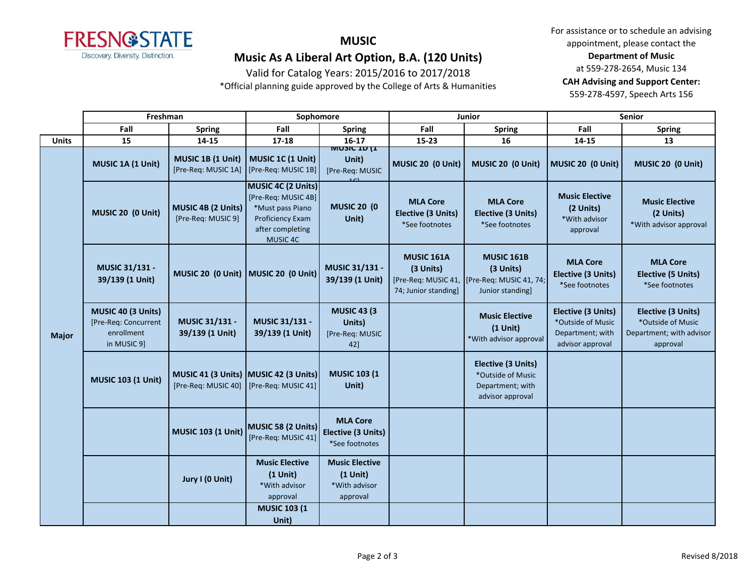

# **MUSIC**

**Music As A Liberal Art Option, B.A. (120 Units)**

Valid for Catalog Years: 2015/2016 to 2017/2018 \*Official planning guide approved by the College of Arts & Humanities

|              | Freshman                                                                |                                                              | Sophomore                                                                                                         |                                                                  | Junior                                                         |                                                                                                     | Senior                                                                          |                                                                                        |
|--------------|-------------------------------------------------------------------------|--------------------------------------------------------------|-------------------------------------------------------------------------------------------------------------------|------------------------------------------------------------------|----------------------------------------------------------------|-----------------------------------------------------------------------------------------------------|---------------------------------------------------------------------------------|----------------------------------------------------------------------------------------|
|              | Fall                                                                    | <b>Spring</b>                                                | Fall                                                                                                              | <b>Spring</b>                                                    | Fall                                                           | <b>Spring</b>                                                                                       | Fall                                                                            | <b>Spring</b>                                                                          |
| <b>Units</b> | 15                                                                      | 14-15                                                        | $17 - 18$                                                                                                         | $16-17$                                                          | 15-23                                                          | 16                                                                                                  | $14 - 15$                                                                       | 13                                                                                     |
| <b>Major</b> | MUSIC 1A (1 Unit)                                                       | MUSIC 1B (1 Unit)<br>[Pre-Req: MUSIC 1A]                     | MUSIC 1C (1 Unit)<br>[Pre-Req: MUSIC 1B]                                                                          | <b>INIOSIC TD (T</b><br>Unit)<br>[Pre-Req: MUSIC                 | MUSIC 20 (0 Unit)                                              | MUSIC 20 (0 Unit)                                                                                   | MUSIC 20 (0 Unit)                                                               | MUSIC 20 (0 Unit)                                                                      |
|              | MUSIC 20 (0 Unit)                                                       | MUSIC 4B (2 Units)<br>[Pre-Req: MUSIC 9]                     | MUSIC 4C (2 Units)<br>[Pre-Req: MUSIC 4B]<br>*Must pass Piano<br>Proficiency Exam<br>after completing<br>MUSIC 4C | <b>MUSIC 20 (0)</b><br>Unit)                                     | <b>MLA Core</b><br><b>Elective (3 Units)</b><br>*See footnotes | <b>MLA Core</b><br><b>Elective (3 Units)</b><br>*See footnotes                                      | <b>Music Elective</b><br>(2 Units)<br>*With advisor<br>approval                 | <b>Music Elective</b><br>(2 Units)<br>*With advisor approval                           |
|              | MUSIC 31/131 -<br>39/139 (1 Unit)                                       | MUSIC 20 (0 Unit) MUSIC 20 (0 Unit)                          |                                                                                                                   | MUSIC 31/131 -<br>39/139 (1 Unit)                                | <b>MUSIC 161A</b><br>(3 Units)<br>74; Junior standing]         | <b>MUSIC 161B</b><br>(3 Units)<br>[Pre-Req: MUSIC 41,   [Pre-Req: MUSIC 41, 74;<br>Junior standing] | <b>MLA Core</b><br><b>Elective (3 Units)</b><br>*See footnotes                  | <b>MLA Core</b><br><b>Elective (5 Units)</b><br>*See footnotes                         |
|              | MUSIC 40 (3 Units)<br>[Pre-Req: Concurrent<br>enrollment<br>in MUSIC 9] | MUSIC 31/131 -<br>39/139 (1 Unit)                            | MUSIC 31/131 -<br>39/139 (1 Unit)                                                                                 | <b>MUSIC 43 (3)</b><br>Units)<br>[Pre-Req: MUSIC<br>42]          |                                                                | <b>Music Elective</b><br>$(1$ Unit)<br>*With advisor approval                                       | Elective (3 Units)<br>*Outside of Music<br>Department; with<br>advisor approval | <b>Elective (3 Units)</b><br>*Outside of Music<br>Department; with advisor<br>approval |
|              | <b>MUSIC 103 (1 Unit)</b>                                               | MUSIC 41 (3 Units) MUSIC 42 (3 Units)<br>[Pre-Req: MUSIC 40] | [Pre-Req: MUSIC 41]                                                                                               | <b>MUSIC 103 (1</b><br>Unit)                                     |                                                                | <b>Elective (3 Units)</b><br>*Outside of Music<br>Department; with<br>advisor approval              |                                                                                 |                                                                                        |
|              |                                                                         | <b>MUSIC 103 (1 Unit)</b>                                    | MUSIC 58 (2 Units)<br>[Pre-Req: MUSIC 41]                                                                         | <b>MLA Core</b><br><b>Elective (3 Units)</b><br>*See footnotes   |                                                                |                                                                                                     |                                                                                 |                                                                                        |
|              |                                                                         | Jury I (0 Unit)                                              | <b>Music Elective</b><br>$(1$ Unit)<br>*With advisor<br>approval                                                  | <b>Music Elective</b><br>$(1$ Unit)<br>*With advisor<br>approval |                                                                |                                                                                                     |                                                                                 |                                                                                        |
|              |                                                                         |                                                              | <b>MUSIC 103 (1)</b><br>Unit)                                                                                     |                                                                  |                                                                |                                                                                                     |                                                                                 |                                                                                        |